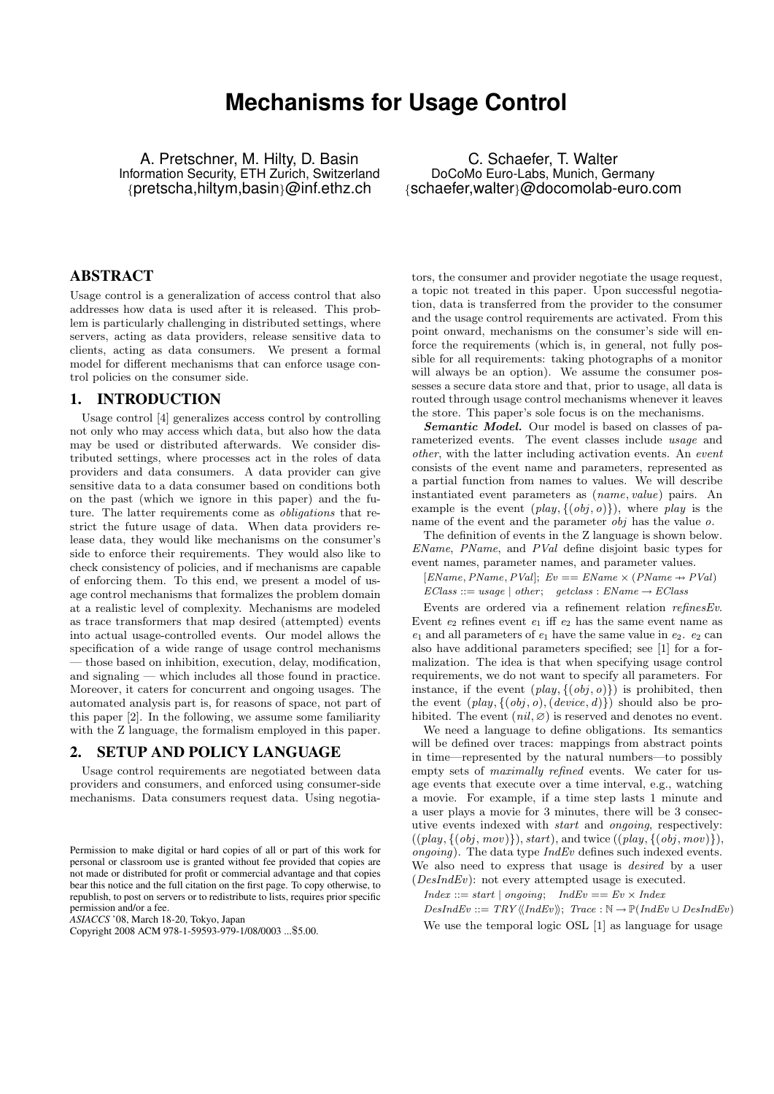# **Mechanisms for Usage Control**

A. Pretschner, M. Hilty, D. Basin Information Security, ETH Zurich, Switzerland {pretscha,hiltym,basin}@inf.ethz.ch

C. Schaefer, T. Walter DoCoMo Euro-Labs, Munich, Germany {schaefer,walter}@docomolab-euro.com

## ABSTRACT

Usage control is a generalization of access control that also addresses how data is used after it is released. This problem is particularly challenging in distributed settings, where servers, acting as data providers, release sensitive data to clients, acting as data consumers. We present a formal model for different mechanisms that can enforce usage control policies on the consumer side.

### 1. INTRODUCTION

Usage control [4] generalizes access control by controlling not only who may access which data, but also how the data may be used or distributed afterwards. We consider distributed settings, where processes act in the roles of data providers and data consumers. A data provider can give sensitive data to a data consumer based on conditions both on the past (which we ignore in this paper) and the future. The latter requirements come as obligations that restrict the future usage of data. When data providers release data, they would like mechanisms on the consumer's side to enforce their requirements. They would also like to check consistency of policies, and if mechanisms are capable of enforcing them. To this end, we present a model of usage control mechanisms that formalizes the problem domain at a realistic level of complexity. Mechanisms are modeled as trace transformers that map desired (attempted) events into actual usage-controlled events. Our model allows the specification of a wide range of usage control mechanisms — those based on inhibition, execution, delay, modification, and signaling — which includes all those found in practice. Moreover, it caters for concurrent and ongoing usages. The automated analysis part is, for reasons of space, not part of this paper [2]. In the following, we assume some familiarity with the Z language, the formalism employed in this paper.

# 2. SETUP AND POLICY LANGUAGE

Usage control requirements are negotiated between data providers and consumers, and enforced using consumer-side mechanisms. Data consumers request data. Using negotia-

*ASIACCS* '08, March 18-20, Tokyo, Japan

tors, the consumer and provider negotiate the usage request, a topic not treated in this paper. Upon successful negotiation, data is transferred from the provider to the consumer and the usage control requirements are activated. From this point onward, mechanisms on the consumer's side will enforce the requirements (which is, in general, not fully possible for all requirements: taking photographs of a monitor will always be an option). We assume the consumer possesses a secure data store and that, prior to usage, all data is routed through usage control mechanisms whenever it leaves the store. This paper's sole focus is on the mechanisms.

Semantic Model. Our model is based on classes of parameterized events. The event classes include usage and other, with the latter including activation events. An event consists of the event name and parameters, represented as a partial function from names to values. We will describe instantiated event parameters as (name, value) pairs. An example is the event  $(\text{play}, \{(obj, o)\})$ , where play is the name of the event and the parameter  $obj$  has the value  $o$ .

The definition of events in the Z language is shown below. EName, PName, and PVal define disjoint basic types for event names, parameter names, and parameter values.

 $[EName, PName, PVal]; Ev == EName \times (PName \rightarrow PVal)$ 

 $EClass ::= usage | other; getclass : EName \rightarrow EClass$ 

Events are ordered via a refinement relation refinesEv. Event  $e_2$  refines event  $e_1$  iff  $e_2$  has the same event name as  $e_1$  and all parameters of  $e_1$  have the same value in  $e_2$ .  $e_2$  can also have additional parameters specified; see [1] for a formalization. The idea is that when specifying usage control requirements, we do not want to specify all parameters. For instance, if the event  $(\text{play}, \{(\text{obj}, \text{o})\})$  is prohibited, then the event  $(\text{play}, \{(\text{obj}, o), (\text{device}, d)\})$  should also be prohibited. The event  $(nil, \varnothing)$  is reserved and denotes no event.

We need a language to define obligations. Its semantics will be defined over traces: mappings from abstract points in time—represented by the natural numbers—to possibly empty sets of maximally refined events. We cater for usage events that execute over a time interval, e.g., watching a movie. For example, if a time step lasts 1 minute and a user plays a movie for 3 minutes, there will be 3 consecutive events indexed with start and ongoing, respectively:  $((play, \{(obj, mov)\}), start), and twice ((play, \{(obj, mov)\}),$ ongoing). The data type  $IndEv$  defines such indexed events. We also need to express that usage is *desired* by a user  $(DesIndEv)$ : not every attempted usage is executed.

 $Index ::= start \mid ongoing; \quad IndEv == Ev \times Index$ 

 $DesIndEv ::= TRY \langle \langle IndEv \rangle \rangle; Trace : \mathbb{N} \rightarrow \mathbb{P}(IndEv \cup DesIndEv)$ We use the temporal logic OSL [1] as language for usage

Permission to make digital or hard copies of all or part of this work for personal or classroom use is granted without fee provided that copies are not made or distributed for profit or commercial advantage and that copies bear this notice and the full citation on the first page. To copy otherwise, to republish, to post on servers or to redistribute to lists, requires prior specific permission and/or a fee.

Copyright 2008 ACM 978-1-59593-979-1/08/0003 ...\$5.00.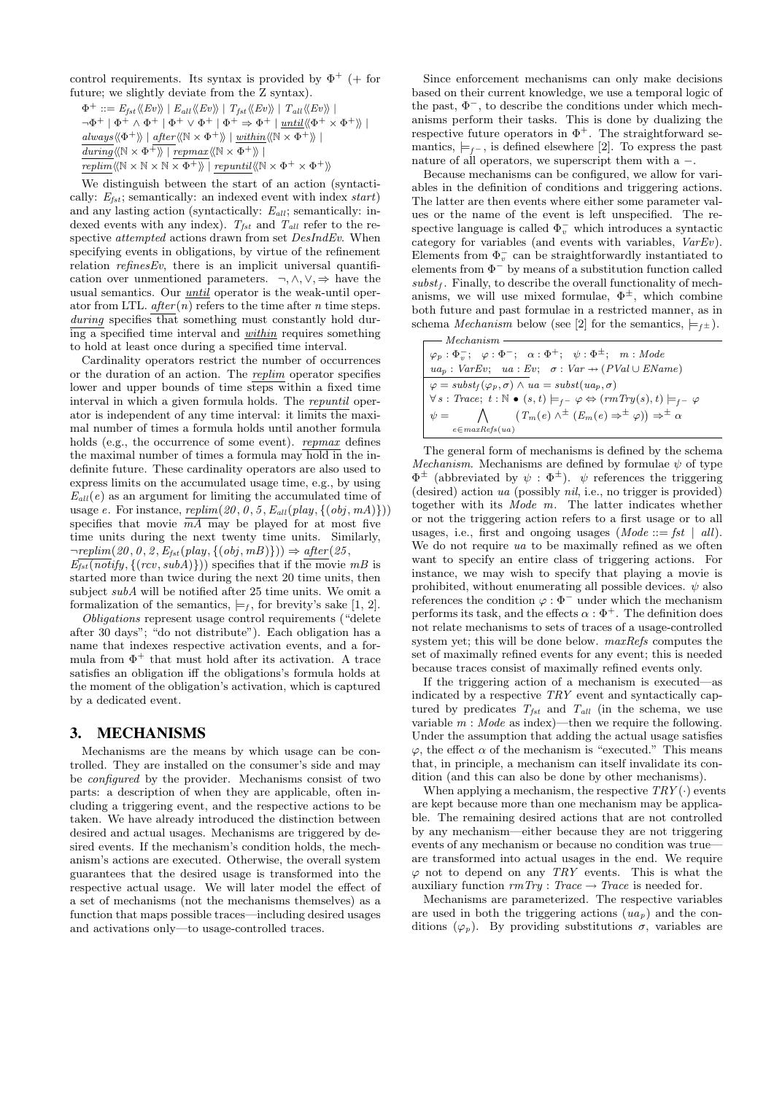control requirements. Its syntax is provided by  $\Phi^+$  (+ for future; we slightly deviate from the Z syntax).

 $\Phi^+ ::= E_{fst} \langle Ev \rangle \rangle \mid E_{all} \langle Ev \rangle \rangle \mid T_{fst} \langle Ev \rangle \rangle \mid T_{all} \langle Ev \rangle \rangle$  $\neg \Phi^+ \mid \Phi^+ \wedge \Phi^+ \mid \Phi^+ \vee \Phi^+ \mid \Phi^+ \Rightarrow \Phi^+ \mid \text{until} \langle \langle \Phi^+ \times \Phi^+ \rangle \rangle$  $always\langle\!\langle\Phi^+\rangle\!\rangle$  | after $\langle\!\langle\mathbb{N}\times\Phi^+\rangle\!\rangle$  | within $\langle\!\langle\mathbb{N}\times\Phi^+\rangle\!\rangle$  |  $\overline{during} \langle \mathbb{N} \times \Phi^+ \rangle \mid repay \langle \mathbb{N} \times \Phi^+ \rangle \rangle$  $\overline{replim} \langle \langle \mathbb{N} \times \mathbb{N} \times \mathbb{N} \times \Phi^+ \rangle \rangle$  | repuntil $\langle \langle \mathbb{N} \times \Phi^+ \times \Phi^+ \rangle \rangle$ 

We distinguish between the start of an action (syntactically:  $E_{fst}$ ; semantically: an indexed event with index start) and any lasting action (syntactically:  $E_{all}$ ; semantically: indexed events with any index).  $T_{fst}$  and  $T_{all}$  refer to the respective attempted actions drawn from set DesIndEv. When specifying events in obligations, by virtue of the refinement relation  $refinesEv$ , there is an implicit universal quantification over unmentioned parameters.  $\neg, \wedge, \vee, \Rightarrow$  have the usual semantics. Our until operator is the weak-until operator from LTL.  $after(n)$  refers to the time after n time steps.  $during$  specifies that something must constantly hold dur $i$ ing a specified time interval and *within* requires something to hold at least once during a specified time interval.

Cardinality operators restrict the number of occurrences or the duration of an action. The replim operator specifies lower and upper bounds of time steps within a fixed time interval in which a given formula holds. The repuntil operator is independent of any time interval: it limits the maximal number of times a formula holds until another formula holds (e.g., the occurrence of some event). *repmax* defines the maximal number of times a formula may hold in the indefinite future. These cardinality operators are also used to express limits on the accumulated usage time, e.g., by using  $E_{all}(e)$  as an argument for limiting the accumulated time of usage e. For instance,  $replim(20, 0, 5, E_{all}(play, \{(obj, mA)\}))$ specifies that movie  $\overline{mA}$  may be played for at most five time units during the next twenty time units. Similarly,  $\neg \text{replim}(20, 0, 2, E_{fst}(play, \{(obj, mB)\})) \Rightarrow after(25,$ 

 $E_{\text{fst}}(\text{notify}, \{(rcv, subA)\}))$  specifies that if the movie mB is started more than twice during the next 20 time units, then subject subA will be notified after 25 time units. We omit a formalization of the semantics,  $\models$ <sub>f</sub>, for brevity's sake [1, 2].

Obligations represent usage control requirements ("delete after 30 days"; "do not distribute"). Each obligation has a name that indexes respective activation events, and a formula from  $\Phi^+$  that must hold after its activation. A trace satisfies an obligation iff the obligations's formula holds at the moment of the obligation's activation, which is captured by a dedicated event.

## 3. MECHANISMS

Mechanisms are the means by which usage can be controlled. They are installed on the consumer's side and may be configured by the provider. Mechanisms consist of two parts: a description of when they are applicable, often including a triggering event, and the respective actions to be taken. We have already introduced the distinction between desired and actual usages. Mechanisms are triggered by desired events. If the mechanism's condition holds, the mechanism's actions are executed. Otherwise, the overall system guarantees that the desired usage is transformed into the respective actual usage. We will later model the effect of a set of mechanisms (not the mechanisms themselves) as a function that maps possible traces—including desired usages and activations only—to usage-controlled traces.

Since enforcement mechanisms can only make decisions based on their current knowledge, we use a temporal logic of the past,  $\Phi^-$ , to describe the conditions under which mechanisms perform their tasks. This is done by dualizing the respective future operators in  $\Phi^+$ . The straightforward semantics,  $\models_{f^-}$ , is defined elsewhere [2]. To express the past nature of all operators, we superscript them with a −.

Because mechanisms can be configured, we allow for variables in the definition of conditions and triggering actions. The latter are then events where either some parameter values or the name of the event is left unspecified. The respective language is called  $\Phi_{v}^{-}$  which introduces a syntactic category for variables (and events with variables, VarEv). Elements from  $\Phi_{v}^{-}$  can be straightforwardly instantiated to elements from  $\Phi^-$  by means of a substitution function called  $subst<sub>f</sub>$ . Finally, to describe the overall functionality of mechanisms, we will use mixed formulae,  $\Phi^{\pm}$ , which combine both future and past formulae in a restricted manner, as in schema *Mechanism* below (see [2] for the semantics,  $\models$ <sub>f</sub> $\pm$ ).

| $-$ Mechanism -                                                                                                           |
|---------------------------------------------------------------------------------------------------------------------------|
|                                                                                                                           |
| $\varphi_p : \Phi_v^-; \quad \varphi : \Phi^-; \quad \alpha : \Phi^+; \quad \psi : \Phi^{\pm}; \quad m : Mode$            |
| $ua_p : VarEv; \quad ua : Ev; \quad \sigma : Var \rightarrow (PVal \cup EName)$                                           |
| $\varphi = \text{subst}_{f}(\varphi_p, \sigma) \land \text{ua} = \text{subst}(\text{ua}_p, \sigma)$                       |
| $\forall s: Trace; t: \mathbb{N} \bullet (s,t) \models_{f^-} \varphi \Leftrightarrow (rmTry(s), t) \models_{f^-} \varphi$ |
| $\psi = \bigwedge$ $(T_m(e) \wedge^{\pm} (E_m(e) \Rightarrow^{\pm} \varphi)) \Rightarrow^{\pm} \alpha$                    |
| $e \in maxRefs(ua)$                                                                                                       |

The general form of mechanisms is defined by the schema Mechanism. Mechanisms are defined by formulae  $\psi$  of type  $\Phi^{\pm}$  (abbreviated by  $\psi : \Phi^{\pm}$ ).  $\psi$  references the triggering (desired) action ua (possibly nil, i.e., no trigger is provided) together with its Mode m. The latter indicates whether or not the triggering action refers to a first usage or to all usages, i.e., first and ongoing usages (*Mode* ::=  $fst \mid all$ ). We do not require ua to be maximally refined as we often want to specify an entire class of triggering actions. For instance, we may wish to specify that playing a movie is prohibited, without enumerating all possible devices.  $\psi$  also references the condition  $\varphi : \Phi^-$  under which the mechanism performs its task, and the effects  $\alpha : \Phi^+$ . The definition does not relate mechanisms to sets of traces of a usage-controlled system yet; this will be done below. maxRefs computes the set of maximally refined events for any event; this is needed because traces consist of maximally refined events only.

If the triggering action of a mechanism is executed—as indicated by a respective TRY event and syntactically captured by predicates  $T_{fst}$  and  $T_{all}$  (in the schema, we use variable  $m : Mode$  as index)—then we require the following. Under the assumption that adding the actual usage satisfies  $\varphi$ , the effect  $\alpha$  of the mechanism is "executed." This means that, in principle, a mechanism can itself invalidate its condition (and this can also be done by other mechanisms).

When applying a mechanism, the respective  $TRY(\cdot)$  events are kept because more than one mechanism may be applicable. The remaining desired actions that are not controlled by any mechanism—either because they are not triggering events of any mechanism or because no condition was true are transformed into actual usages in the end. We require  $\varphi$  not to depend on any TRY events. This is what the auxiliary function  $rm\, Try: Trace \rightarrow Trace$  is needed for.

Mechanisms are parameterized. The respective variables are used in both the triggering actions  $(ua_p)$  and the conditions  $(\varphi_p)$ . By providing substitutions  $\sigma$ , variables are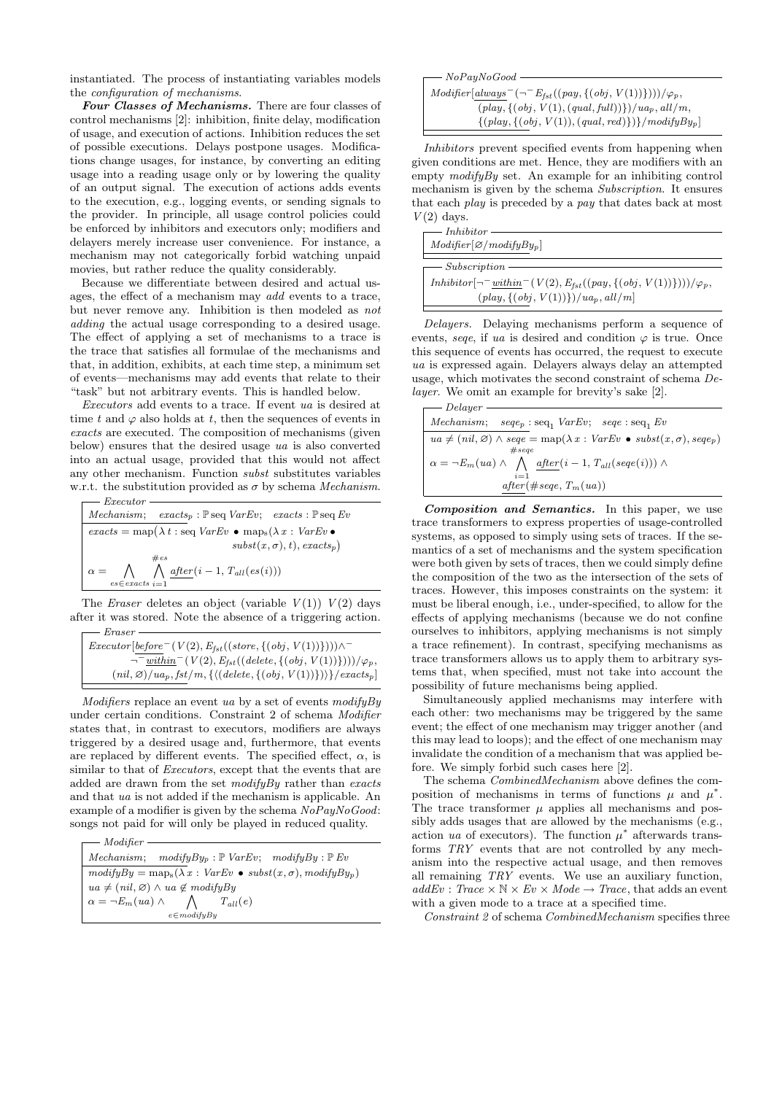instantiated. The process of instantiating variables models the configuration of mechanisms.

Four Classes of Mechanisms. There are four classes of control mechanisms [2]: inhibition, finite delay, modification of usage, and execution of actions. Inhibition reduces the set of possible executions. Delays postpone usages. Modifications change usages, for instance, by converting an editing usage into a reading usage only or by lowering the quality of an output signal. The execution of actions adds events to the execution, e.g., logging events, or sending signals to the provider. In principle, all usage control policies could be enforced by inhibitors and executors only; modifiers and delayers merely increase user convenience. For instance, a mechanism may not categorically forbid watching unpaid movies, but rather reduce the quality considerably.

Because we differentiate between desired and actual usages, the effect of a mechanism may add events to a trace, but never remove any. Inhibition is then modeled as not adding the actual usage corresponding to a desired usage. The effect of applying a set of mechanisms to a trace is the trace that satisfies all formulae of the mechanisms and that, in addition, exhibits, at each time step, a minimum set of events—mechanisms may add events that relate to their "task" but not arbitrary events. This is handled below.

Executors add events to a trace. If event ua is desired at time t and  $\varphi$  also holds at t, then the sequences of events in exacts are executed. The composition of mechanisms (given below) ensures that the desired usage ua is also converted into an actual usage, provided that this would not affect any other mechanism. Function *subst* substitutes variables w.r.t. the substitution provided as  $\sigma$  by schema *Mechanism*.  $= E$ recutor

*Mechanism*; *exacts*<sub>p</sub>: 
$$
\mathbb{P}seq VarEv
$$
; *exacts*:  $\mathbb{P}seq Ev$   
\n*exacts* =  $\text{map}(\lambda t : seq VarEv \bullet \text{maps}(\lambda x : VarEv \bullet \text{subs})$   
\n $\text{subst}(x, \sigma), t), \text{exacts}_p)$   
\n $\alpha = \bigwedge_{es \in \text{exacts}} \bigwedge_{i=1}^{t \neq s} \frac{after(i-1, T_{all}(es(i)))}{\text{subst}(es(i))}$ 

The *Eraser* deletes an object (variable  $V(1)$ )  $V(2)$  days after it was stored. Note the absence of a triggering action.  $- *Eraser*$ 

 $Executor[before^-(V(2), E_{fst}((store, \{(obj, V(1))\}))) \wedge$ <sup>-</sup>  $-\overline{\frac{within}{\text{``within}^-(V(2), E_{fst}((delete, \{(obj, V(1))\})))/\varphi_p},$  $(nil, \varnothing)/ua_p, fst/m, \{(\text{delete}, \{(obj, V(1))\})\}$ /exacts<sub>p</sub>]

 $Modifiers$  replace an event ua by a set of events  $modifyBy$ under certain conditions. Constraint 2 of schema Modifier states that, in contrast to executors, modifiers are always triggered by a desired usage and, furthermore, that events are replaced by different events. The specified effect,  $\alpha$ , is similar to that of *Executors*, except that the events that are added are drawn from the set  $modifyBy$  rather than exacts and that ua is not added if the mechanism is applicable. An example of a modifier is given by the schema  $NoPayNoGood:$ songs not paid for will only be played in reduced quality.

Modifier  $\label{thm:mechanism} Mechanism;\quad modifyBy_p: \mathbb{P}\;VarEv;\quad modifyBy: \mathbb{P}\;Ev$  $\overline{modifyBy} = \text{map}_{s}(\lambda x : \text{VarEv} \bullet \text{subst}(x, \sigma), \text{modifyBy}_{p})$  $ua \neq (nil, \varnothing) \land ua \not\in modifyBy$  $\alpha = \neg E_m(ua) \wedge$  $\wedge$ e∈modifyBy  $T_{all}(e)$ 

| $\longrightarrow$ NoPayNoGood $-$                                                         |
|-------------------------------------------------------------------------------------------|
|                                                                                           |
| $Modifier[always^{-}(\neg^{-}E_{fst}((pay, \{(obj, V(1))\})))/\varphi_{p},$               |
| $(\text{play}, \{(\text{obj}, V(1), (\text{qual}, \text{full}))\})/u_{ap}, \text{all/m},$ |
| $\{(play, {(obj, V(1)), (qual, red)}\})\}/modifyBy_p$                                     |

Inhibitors prevent specified events from happening when given conditions are met. Hence, they are modifiers with an empty  $\text{modifyBy set.}$  An example for an inhibiting control mechanism is given by the schema Subscription. It ensures that each play is preceded by a pay that dates back at most  $V(2)$  days.

| $\longrightarrow$ Inhibitor $\longrightarrow$<br>$Modifier[\emptyset/modifyBy_p]$                            |
|--------------------------------------------------------------------------------------------------------------|
| $\longrightarrow$ Subscription $\longrightarrow$                                                             |
| $Inhibitor \left[\neg \neg \underline{within}^-(V(2), E_{fst}((pay, \{ (obj, V(1)) \})))/\varphi_p, \right]$ |
| $\left(\text{play}, \left\{(\text{obj}, V(1))\right\}\right) / \text{ua}_p, \text{all/m}\right)$             |

Delayers. Delaying mechanisms perform a sequence of events, seque, if ua is desired and condition  $\varphi$  is true. Once this sequence of events has occurred, the request to execute ua is expressed again. Delayers always delay an attempted usage, which motivates the second constraint of schema Delayer. We omit an example for brevity's sake [2].

| - Delayer                                                                                                                               |
|-----------------------------------------------------------------------------------------------------------------------------------------|
| <i>Mechanism</i> ; $\text{seq}_p : \text{seq}_1 \text{Var} E v$ ; $\text{seq}_1 E v$                                                    |
| $ua \neq (nil, \emptyset) \land \text{see} = \text{map}(\lambda x : \text{VarEv} \bullet \text{subst}(x, \sigma), \text{see} \text{p})$ |
| $# \, \text{see} \, \text{see}$                                                                                                         |
| $\alpha = \neg E_m(ua) \wedge \bigwedge \text{ after } (i-1, T_{all}(see (i))) \wedge$<br>$i=1$                                         |
| $after(\#see, T_m(ua))$                                                                                                                 |

Composition and Semantics. In this paper, we use trace transformers to express properties of usage-controlled systems, as opposed to simply using sets of traces. If the semantics of a set of mechanisms and the system specification were both given by sets of traces, then we could simply define the composition of the two as the intersection of the sets of traces. However, this imposes constraints on the system: it must be liberal enough, i.e., under-specified, to allow for the effects of applying mechanisms (because we do not confine ourselves to inhibitors, applying mechanisms is not simply a trace refinement). In contrast, specifying mechanisms as trace transformers allows us to apply them to arbitrary systems that, when specified, must not take into account the possibility of future mechanisms being applied.

Simultaneously applied mechanisms may interfere with each other: two mechanisms may be triggered by the same event; the effect of one mechanism may trigger another (and this may lead to loops); and the effect of one mechanism may invalidate the condition of a mechanism that was applied before. We simply forbid such cases here [2].

The schema CombinedMechanism above defines the composition of mechanisms in terms of functions  $\mu$  and  $\mu^*$ . The trace transformer  $\mu$  applies all mechanisms and possibly adds usages that are allowed by the mechanisms (e.g., action ua of executors). The function  $\mu^*$  afterwards transforms TRY events that are not controlled by any mechanism into the respective actual usage, and then removes all remaining TRY events. We use an auxiliary function,  $addEv: Trace \times \mathbb{N} \times Ev \times Mode \rightarrow Trace$ , that adds an event with a given mode to a trace at a specified time.

Constraint 2 of schema CombinedMechanism specifies three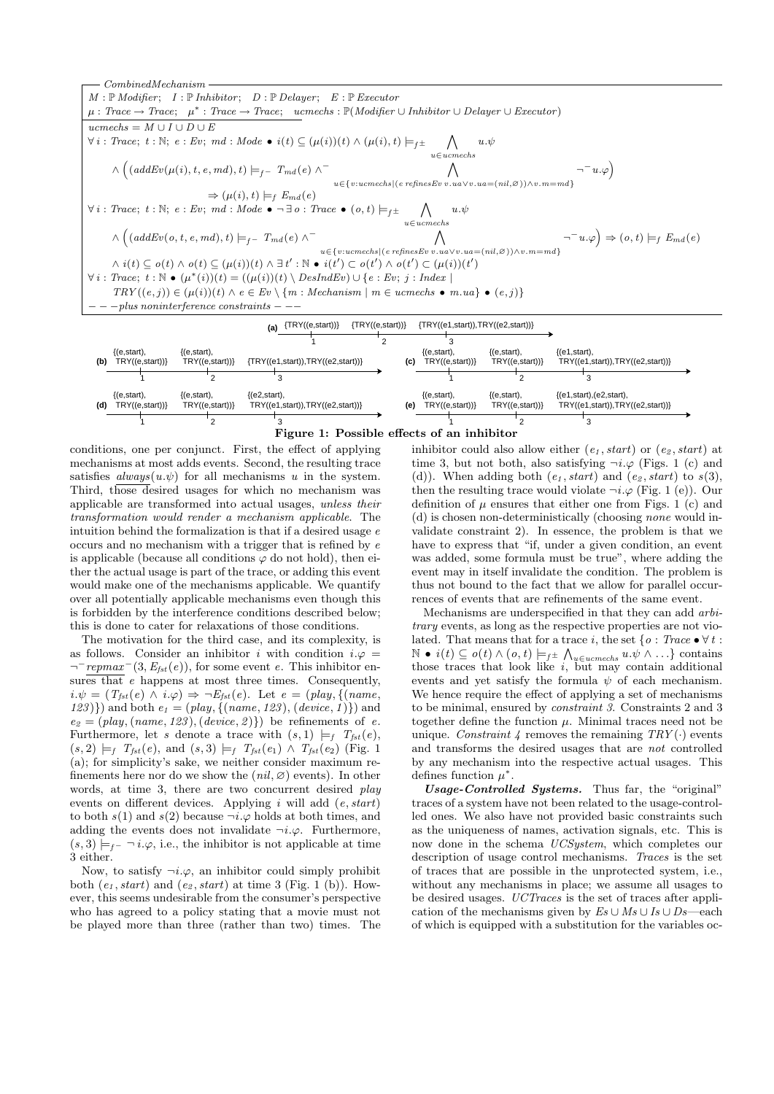

Figure 1: Possible effects of an inhibitor

conditions, one per conjunct. First, the effect of applying mechanisms at most adds events. Second, the resulting trace satisfies  $always(u.\psi)$  for all mechanisms u in the system. Third, those desired usages for which no mechanism was applicable are transformed into actual usages, unless their transformation would render a mechanism applicable. The intuition behind the formalization is that if a desired usage  $e$ occurs and no mechanism with a trigger that is refined by e is applicable (because all conditions  $\varphi$  do not hold), then either the actual usage is part of the trace, or adding this event would make one of the mechanisms applicable. We quantify over all potentially applicable mechanisms even though this is forbidden by the interference conditions described below; this is done to cater for relaxations of those conditions.

The motivation for the third case, and its complexity, is as follows. Consider an inhibitor i with condition  $i.\varphi =$  $\neg^-$ repmax<sup> $-(3, E_{fst}(e))$ , for some event e. This inhibitor en-</sup> sures that *e* happens at most three times. Consequently,  $i.\psi = (T_{\text{fst}}(e) \wedge i.\varphi) \Rightarrow \neg E_{\text{fst}}(e)$ . Let  $e = (\text{play}, \{(\text{name},$ 123)}) and both  $e_1 = (play, {(name, 123), (device, 1)} )$  and  $e_2 = (play, (name, 123), (device, 2))$  be refinements of e. Furthermore, let s denote a trace with  $(s, 1) \models_f T_{\text{fst}}(e)$ ,  $(s, 2) \models_f T_{fst}(e)$ , and  $(s, 3) \models_f T_{fst}(e_1) \wedge T_{fst}(e_2)$  (Fig. 1) (a); for simplicity's sake, we neither consider maximum refinements here nor do we show the  $(nil, \emptyset)$  events). In other words, at time 3, there are two concurrent desired play events on different devices. Applying  $i$  will add  $(e, start)$ to both  $s(1)$  and  $s(2)$  because  $\neg i.\varphi$  holds at both times, and adding the events does not invalidate  $\neg i.\varphi$ . Furthermore,  $(s, 3) \models_{f^-} \neg i.\varphi$ , i.e., the inhibitor is not applicable at time 3 either.

Now, to satisfy  $\neg i.\varphi$ , an inhibitor could simply prohibit both  $(e_1, start)$  and  $(e_2, start)$  at time 3 (Fig. 1 (b)). However, this seems undesirable from the consumer's perspective who has agreed to a policy stating that a movie must not be played more than three (rather than two) times. The inhibitor could also allow either  $(e_1, start)$  or  $(e_2, start)$  at time 3, but not both, also satisfying  $\neg i.\varphi$  (Figs. 1 (c) and (d)). When adding both  $(e_1, start)$  and  $(e_2, start)$  to  $s(3)$ , then the resulting trace would violate  $\neg i.\varphi$  (Fig. 1 (e)). Our definition of  $\mu$  ensures that either one from Figs. 1 (c) and (d) is chosen non-deterministically (choosing none would invalidate constraint 2). In essence, the problem is that we have to express that "if, under a given condition, an event was added, some formula must be true", where adding the event may in itself invalidate the condition. The problem is thus not bound to the fact that we allow for parallel occurrences of events that are refinements of the same event.

Mechanisms are underspecified in that they can add arbitrary events, as long as the respective properties are not violated. That means that for a trace i, the set { $o: Trace \bullet \forall t$ :  $\mathbb{N} \bullet i(t) \subseteq o(t) \land (o, t) \models_{f^{\pm}} \bigwedge_{u \in u \text{c}mechs} u.\psi \land \ldots \}$  contains those traces that look like  $i$ , but may contain additional events and yet satisfy the formula  $\psi$  of each mechanism. We hence require the effect of applying a set of mechanisms to be minimal, ensured by constraint 3. Constraints 2 and 3 together define the function  $\mu$ . Minimal traces need not be unique. Constraint 4 removes the remaining  $TRY(\cdot)$  events and transforms the desired usages that are not controlled by any mechanism into the respective actual usages. This defines function  $\mu^*$ .

Usage-Controlled Systems. Thus far, the "original" traces of a system have not been related to the usage-controlled ones. We also have not provided basic constraints such as the uniqueness of names, activation signals, etc. This is now done in the schema UCSystem, which completes our description of usage control mechanisms. Traces is the set of traces that are possible in the unprotected system, i.e., without any mechanisms in place; we assume all usages to be desired usages. UCTraces is the set of traces after application of the mechanisms given by  $Es \cup Ms \cup Is \cup Ds$ —each of which is equipped with a substitution for the variables oc-